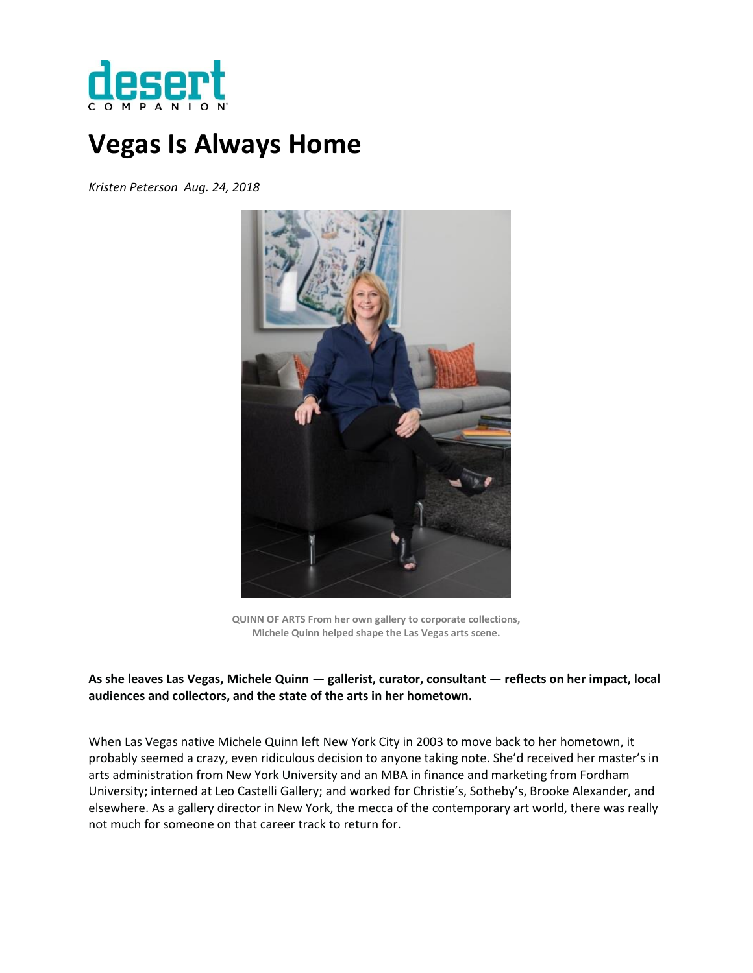

# **Vegas Is Always Home**

*Kristen Peterson Aug. 24, 2018*



**QUINN OF ARTS From her own gallery to corporate collections, Michele Quinn helped shape the Las Vegas arts scene.**

# **As she leaves Las Vegas, Michele Quinn — gallerist, curator, consultant — reflects on her impact, local audiences and collectors, and the state of the arts in her hometown.**

When Las Vegas native Michele Quinn left New York City in 2003 to move back to her hometown, it probably seemed a crazy, even ridiculous decision to anyone taking note. She'd received her master's in arts administration from New York University and an MBA in finance and marketing from Fordham University; interned at Leo Castelli Gallery; and worked for Christie's, Sotheby's, Brooke Alexander, and elsewhere. As a gallery director in New York, the mecca of the contemporary art world, there was really not much for someone on that career track to return for.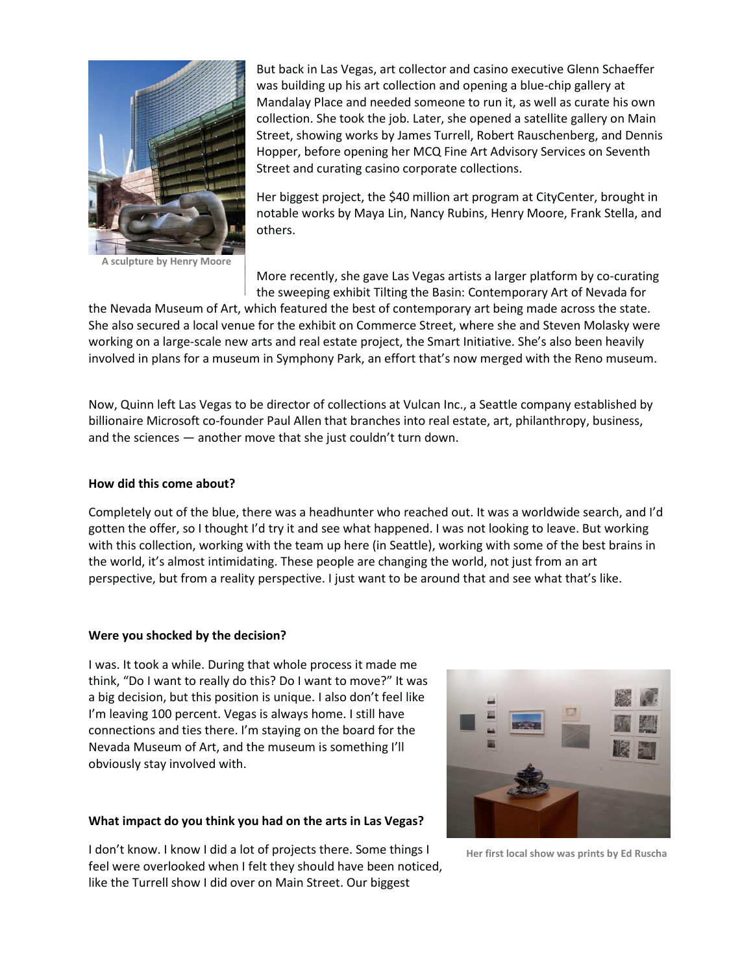

**A sculpture by Henry Moore**

But back in Las Vegas, art collector and casino executive Glenn Schaeffer was building up his art collection and opening a blue-chip gallery at Mandalay Place and needed someone to run it, as well as curate his own collection. She took the job. Later, she opened a satellite gallery on Main Street, showing works by James Turrell, Robert Rauschenberg, and Dennis Hopper, before opening her MCQ Fine Art Advisory Services on Seventh Street and curating casino corporate collections.

Her biggest project, the \$40 million art program at CityCenter, brought in notable works by Maya Lin, Nancy Rubins, Henry Moore, Frank Stella, and others.

More recently, she gave Las Vegas artists a larger platform by co-curating the sweeping exhibit Tilting the Basin: Contemporary Art of Nevada for

the Nevada Museum of Art, which featured the best of contemporary art being made across the state. She also secured a local venue for the exhibit on Commerce Street, where she and Steven Molasky were working on a large-scale new arts and real estate project, the Smart Initiative. She's also been heavily involved in plans for a museum in Symphony Park, an effort that's now merged with the Reno museum.

Now, Quinn left Las Vegas to be director of collections at Vulcan Inc., a Seattle company established by billionaire Microsoft co-founder Paul Allen that branches into real estate, art, philanthropy, business, and the sciences — another move that she just couldn't turn down.

#### **How did this come about?**

Completely out of the blue, there was a headhunter who reached out. It was a worldwide search, and I'd gotten the offer, so I thought I'd try it and see what happened. I was not looking to leave. But working with this collection, working with the team up here (in Seattle), working with some of the best brains in the world, it's almost intimidating. These people are changing the world, not just from an art perspective, but from a reality perspective. I just want to be around that and see what that's like.

#### **Were you shocked by the decision?**

I was. It took a while. During that whole process it made me think, "Do I want to really do this? Do I want to move?" It was a big decision, but this position is unique. I also don't feel like I'm leaving 100 percent. Vegas is always home. I still have connections and ties there. I'm staying on the board for the Nevada Museum of Art, and the museum is something I'll obviously stay involved with.

#### **What impact do you think you had on the arts in Las Vegas?**

I don't know. I know I did a lot of projects there. Some things I feel were overlooked when I felt they should have been noticed, like the Turrell show I did over on Main Street. Our biggest



**Her first local show was prints by Ed Ruscha**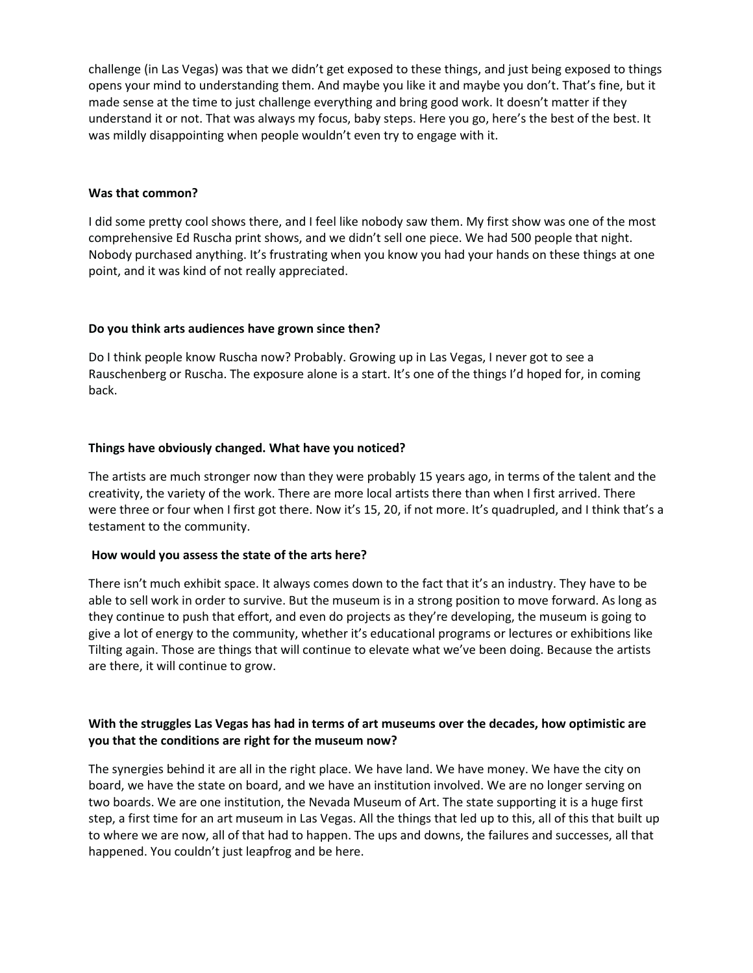challenge (in Las Vegas) was that we didn't get exposed to these things, and just being exposed to things opens your mind to understanding them. And maybe you like it and maybe you don't. That's fine, but it made sense at the time to just challenge everything and bring good work. It doesn't matter if they understand it or not. That was always my focus, baby steps. Here you go, here's the best of the best. It was mildly disappointing when people wouldn't even try to engage with it.

#### **Was that common?**

I did some pretty cool shows there, and I feel like nobody saw them. My first show was one of the most comprehensive Ed Ruscha print shows, and we didn't sell one piece. We had 500 people that night. Nobody purchased anything. It's frustrating when you know you had your hands on these things at one point, and it was kind of not really appreciated.

#### **Do you think arts audiences have grown since then?**

Do I think people know Ruscha now? Probably. Growing up in Las Vegas, I never got to see a Rauschenberg or Ruscha. The exposure alone is a start. It's one of the things I'd hoped for, in coming back.

## **Things have obviously changed. What have you noticed?**

The artists are much stronger now than they were probably 15 years ago, in terms of the talent and the creativity, the variety of the work. There are more local artists there than when I first arrived. There were three or four when I first got there. Now it's 15, 20, if not more. It's quadrupled, and I think that's a testament to the community.

## **How would you assess the state of the arts here?**

There isn't much exhibit space. It always comes down to the fact that it's an industry. They have to be able to sell work in order to survive. But the museum is in a strong position to move forward. As long as they continue to push that effort, and even do projects as they're developing, the museum is going to give a lot of energy to the community, whether it's educational programs or lectures or exhibitions like Tilting again. Those are things that will continue to elevate what we've been doing. Because the artists are there, it will continue to grow.

# **With the struggles Las Vegas has had in terms of art museums over the decades, how optimistic are you that the conditions are right for the museum now?**

The synergies behind it are all in the right place. We have land. We have money. We have the city on board, we have the state on board, and we have an institution involved. We are no longer serving on two boards. We are one institution, the Nevada Museum of Art. The state supporting it is a huge first step, a first time for an art museum in Las Vegas. All the things that led up to this, all of this that built up to where we are now, all of that had to happen. The ups and downs, the failures and successes, all that happened. You couldn't just leapfrog and be here.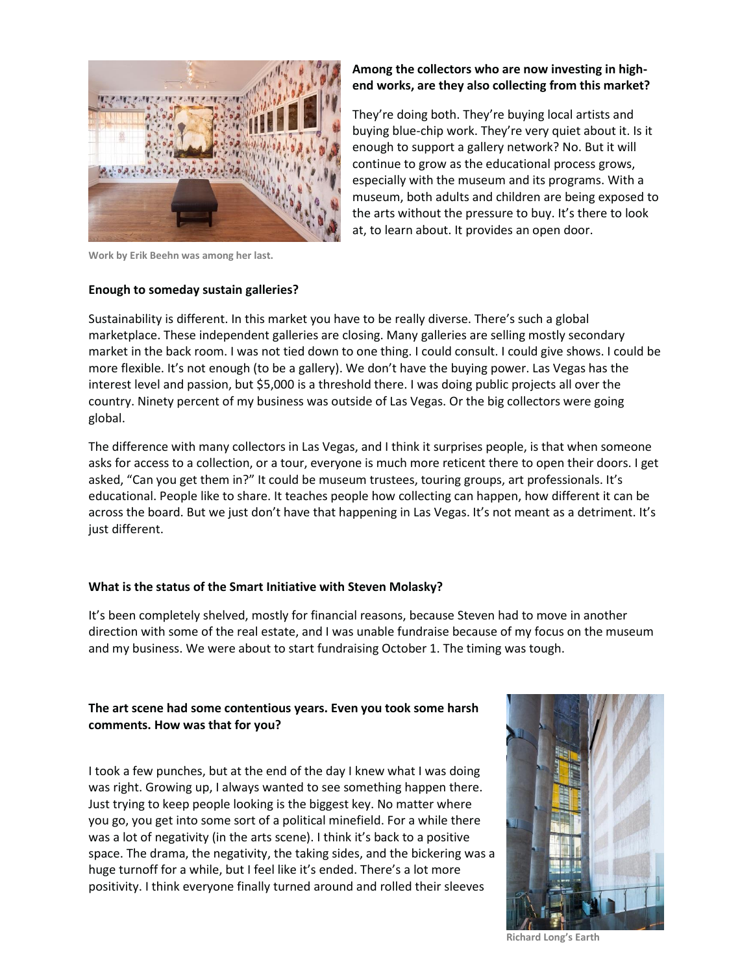

**Work by Erik Beehn was among her last.**

#### **Enough to someday sustain galleries?**

## **Among the collectors who are now investing in highend works, are they also collecting from this market?**

They're doing both. They're buying local artists and buying blue-chip work. They're very quiet about it. Is it enough to support a gallery network? No. But it will continue to grow as the educational process grows, especially with the museum and its programs. With a museum, both adults and children are being exposed to the arts without the pressure to buy. It's there to look at, to learn about. It provides an open door.

Sustainability is different. In this market you have to be really diverse. There's such a global marketplace. These independent galleries are closing. Many galleries are selling mostly secondary market in the back room. I was not tied down to one thing. I could consult. I could give shows. I could be more flexible. It's not enough (to be a gallery). We don't have the buying power. Las Vegas has the interest level and passion, but \$5,000 is a threshold there. I was doing public projects all over the country. Ninety percent of my business was outside of Las Vegas. Or the big collectors were going global.

The difference with many collectors in Las Vegas, and I think it surprises people, is that when someone asks for access to a collection, or a tour, everyone is much more reticent there to open their doors. I get asked, "Can you get them in?" It could be museum trustees, touring groups, art professionals. It's educational. People like to share. It teaches people how collecting can happen, how different it can be across the board. But we just don't have that happening in Las Vegas. It's not meant as a detriment. It's just different.

## **What is the status of the Smart Initiative with Steven Molasky?**

It's been completely shelved, mostly for financial reasons, because Steven had to move in another direction with some of the real estate, and I was unable fundraise because of my focus on the museum and my business. We were about to start fundraising October 1. The timing was tough.

# **The art scene had some contentious years. Even you took some harsh comments. How was that for you?**

I took a few punches, but at the end of the day I knew what I was doing was right. Growing up, I always wanted to see something happen there. Just trying to keep people looking is the biggest key. No matter where you go, you get into some sort of a political minefield. For a while there was a lot of negativity (in the arts scene). I think it's back to a positive space. The drama, the negativity, the taking sides, and the bickering was a huge turnoff for a while, but I feel like it's ended. There's a lot more positivity. I think everyone finally turned around and rolled their sleeves



**Richard Long's Earth**